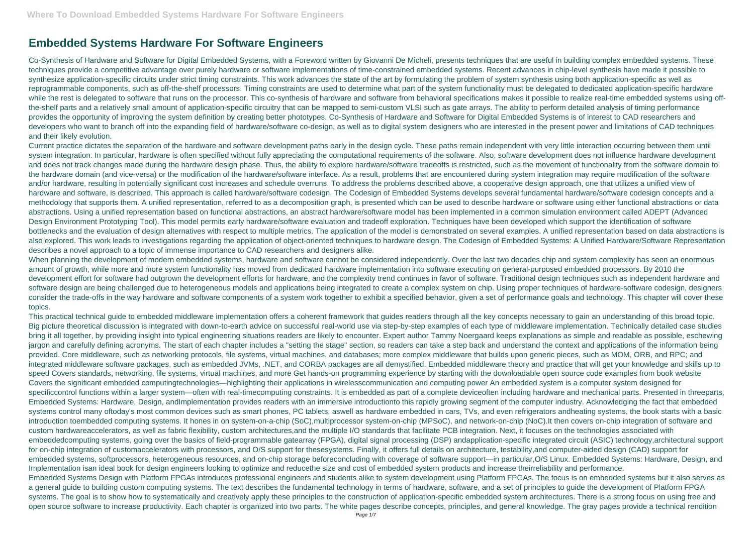## **Embedded Systems Hardware For Software Engineers**

Co-Synthesis of Hardware and Software for Digital Embedded Systems, with a Foreword written by Giovanni De Micheli, presents techniques that are useful in building complex embedded systems. These techniques provide a competitive advantage over purely hardware or software implementations of time-constrained embedded systems. Recent advances in chip-level synthesis have made it possible to synthesize application-specific circuits under strict timing constraints. This work advances the state of the art by formulating the problem of system synthesis using both application-specific as well as reprogrammable components, such as off-the-shelf processors. Timing constraints are used to determine what part of the system functionality must be delegated to dedicated application-specific hardware while the rest is delegated to software that runs on the processor. This co-synthesis of hardware and software from behavioral specifications makes it possible to realize real-time embedded systems using offthe-shelf parts and a relatively small amount of application-specific circuitry that can be mapped to semi-custom VLSI such as gate arrays. The ability to perform detailed analysis of timing performance provides the opportunity of improving the system definition by creating better phototypes. Co-Synthesis of Hardware and Software for Digital Embedded Systems is of interest to CAD researchers and developers who want to branch off into the expanding field of hardware/software co-design, as well as to digital system designers who are interested in the present power and limitations of CAD techniques and their likely evolution.

When planning the development of modern embedded systems, hardware and software cannot be considered independently. Over the last two decades chip and system complexity has seen an enormous amount of growth, while more and more system functionality has moved from dedicated hardware implementation into software executing on general-purposed embedded processors. By 2010 the development effort for software had outgrown the development efforts for hardware, and the complexity trend continues in favor of software. Traditional design techniques such as independent hardware and software design are being challenged due to heterogeneous models and applications being integrated to create a complex system on chip. Using proper techniques of hardware-software codesign, designers consider the trade-offs in the way hardware and software components of a system work together to exhibit a specified behavior, given a set of performance goals and technology. This chapter will cover these topics.

Current practice dictates the separation of the hardware and software development paths early in the design cycle. These paths remain independent with very little interaction occurring between them until system integration. In particular, hardware is often specified without fully appreciating the computational requirements of the software. Also, software development does not influence hardware development and does not track changes made during the hardware design phase. Thus, the ability to explore hardware/software tradeoffs is restricted, such as the movement of functionality from the software domain to the hardware domain (and vice-versa) or the modification of the hardware/software interface. As a result, problems that are encountered during system integration may require modification of the software and/or hardware, resulting in potentially significant cost increases and schedule overruns. To address the problems described above, a cooperative design approach, one that utilizes a unified view of hardware and software, is described. This approach is called hardware/software codesign. The Codesign of Embedded Systems develops several fundamental hardware/software codesign concepts and a methodology that supports them. A unified representation, referred to as a decomposition graph, is presented which can be used to describe hardware or software using either functional abstractions or data abstractions. Using a unified representation based on functional abstractions, an abstract hardware/software model has been implemented in a common simulation environment called ADEPT (Advanced Design Environment Prototyping Tool). This model permits early hardware/software evaluation and tradeoff exploration. Techniques have been developed which support the identification of software bottlenecks and the evaluation of design alternatives with respect to multiple metrics. The application of the model is demonstrated on several examples. A unified representation based on data abstractions is also explored. This work leads to investigations regarding the application of object-oriented techniques to hardware design. The Codesign of Embedded Systems: A Unified Hardware/Software Representation describes a novel approach to a topic of immense importance to CAD researchers and designers alike.

This practical technical guide to embedded middleware implementation offers a coherent framework that guides readers through all the key concepts necessary to gain an understanding of this broad topic. Big picture theoretical discussion is integrated with down-to-earth advice on successful real-world use via step-by-step examples of each type of middleware implementation. Technically detailed case studies bring it all together, by providing insight into typical engineering situations readers are likely to encounter. Expert author Tammy Noergaard keeps explanations as simple and readable as possible, eschewing jargon and carefully defining acronyms. The start of each chapter includes a "setting the stage" section, so readers can take a step back and understand the context and applications of the information being provided. Core middleware, such as networking protocols, file systems, virtual machines, and databases; more complex middleware that builds upon generic pieces, such as MOM, ORB, and RPC; and integrated middleware software packages, such as embedded JVMs, .NET, and CORBA packages are all demystified. Embedded middleware theory and practice that will get your knowledge and skills up to speed Covers standards, networking, file systems, virtual machines, and more Get hands-on programming experience by starting with the downloadable open source code examples from book website Covers the significant embedded computingtechnologies—highlighting their applications in wirelesscommunication and computing power An embedded system is a computer system designed for specificcontrol functions within a larger system—often with real-timecomputing constraints. It is embedded as part of a complete deviceoften including hardware and mechanical parts. Presented in threeparts, Embedded Systems: Hardware, Design, andImplementation provides readers with an immersive introductionto this rapidly growing segment of the computer industry. Acknowledging the fact that embedded systems control many oftoday's most common devices such as smart phones, PC tablets, aswell as hardware embedded in cars, TVs, and even refrigerators andheating systems, the book starts with a basic introduction toembedded computing systems. It hones in on system-on-a-chip (SoC),multiprocessor system-on-chip (MPSoC), and network-on-chip (NoC).It then covers on-chip integration of software and custom hardwareaccelerators, as well as fabric flexibility, custom architectures,and the multiple I/O standards that facilitate PCB integration. Next, it focuses on the technologies associated with embeddedcomputing systems, going over the basics of field-programmable gatearray (FPGA), digital signal processing (DSP) andapplication-specific integrated circuit (ASIC) technology,architectural support for on-chip integration of customaccelerators with processors, and O/S support for thesesystems. Finally, it offers full details on architecture, testability,and computer-aided design (CAD) support for embedded systems, softprocessors, heterogeneous resources, and on-chip storage beforeconcluding with coverage of software support—in particular,O/S Linux. Embedded Systems: Hardware, Design, and Implementation isan ideal book for design engineers looking to optimize and reducethe size and cost of embedded system products and increase theirreliability and performance. Embedded Systems Design with Platform FPGAs introduces professional engineers and students alike to system development using Platform FPGAs. The focus is on embedded systems but it also serves as a general guide to building custom computing systems. The text describes the fundamental technology in terms of hardware, software, and a set of principles to guide the development of Platform FPGA systems. The goal is to show how to systematically and creatively apply these principles to the construction of application-specific embedded system architectures. There is a strong focus on using free and open source software to increase productivity. Each chapter is organized into two parts. The white pages describe concepts, principles, and general knowledge. The gray pages provide a technical rendition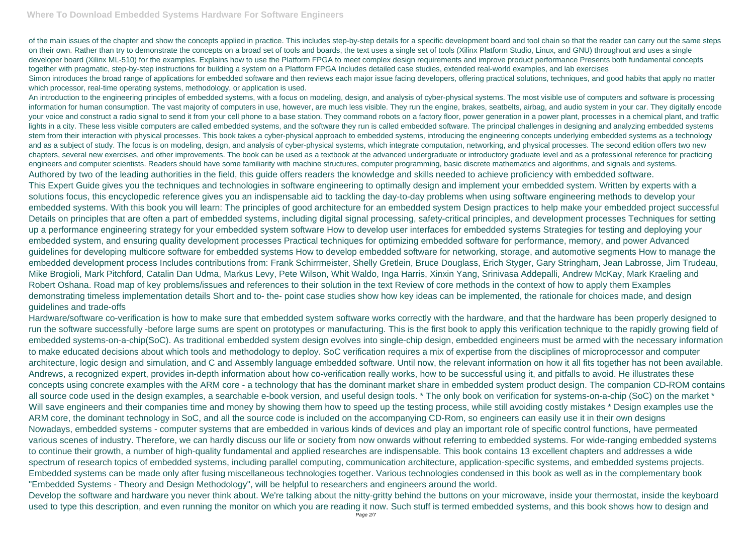of the main issues of the chapter and show the concepts applied in practice. This includes step-by-step details for a specific development board and tool chain so that the reader can carry out the same steps on their own. Rather than try to demonstrate the concepts on a broad set of tools and boards, the text uses a single set of tools (Xilinx Platform Studio, Linux, and GNU) throughout and uses a single developer board (Xilinx ML-510) for the examples. Explains how to use the Platform FPGA to meet complex design requirements and improve product performance Presents both fundamental concepts together with pragmatic, step-by-step instructions for building a system on a Platform FPGA Includes detailed case studies, extended real-world examples, and lab exercises Simon introduces the broad range of applications for embedded software and then reviews each major issue facing developers, offering practical solutions, techniques, and good habits that apply no matter which processor, real-time operating systems, methodology, or application is used.

An introduction to the engineering principles of embedded systems, with a focus on modeling, design, and analysis of cyber-physical systems. The most visible use of computers and software is processing information for human consumption. The vast majority of computers in use, however, are much less visible. They run the engine, brakes, seatbelts, airbag, and audio system in your car. They digitally encode your voice and construct a radio signal to send it from your cell phone to a base station. They command robots on a factory floor, power generation in a power plant, processes in a chemical plant, and traffic lights in a city. These less visible computers are called embedded systems, and the software they run is called embedded software. The principal challenges in designing and analyzing embedded systems stem from their interaction with physical processes. This book takes a cyber-physical approach to embedded systems, introducing the engineering concepts underlying embedded systems as a technology and as a subject of study. The focus is on modeling, design, and analysis of cyber-physical systems, which integrate computation, networking, and physical processes. The second edition offers two new chapters, several new exercises, and other improvements. The book can be used as a textbook at the advanced undergraduate or introductory graduate level and as a professional reference for practicing engineers and computer scientists. Readers should have some familiarity with machine structures, computer programming, basic discrete mathematics and algorithms, and signals and systems. Authored by two of the leading authorities in the field, this guide offers readers the knowledge and skills needed to achieve proficiency with embedded software. This Expert Guide gives you the techniques and technologies in software engineering to optimally design and implement your embedded system. Written by experts with a solutions focus, this encyclopedic reference gives you an indispensable aid to tackling the day-to-day problems when using software engineering methods to develop your embedded systems. With this book you will learn: The principles of good architecture for an embedded system Design practices to help make your embedded project successful Details on principles that are often a part of embedded systems, including digital signal processing, safety-critical principles, and development processes Techniques for setting up a performance engineering strategy for your embedded system software How to develop user interfaces for embedded systems Strategies for testing and deploying your embedded system, and ensuring quality development processes Practical techniques for optimizing embedded software for performance, memory, and power Advanced guidelines for developing multicore software for embedded systems How to develop embedded software for networking, storage, and automotive segments How to manage the embedded development process Includes contributions from: Frank Schirrmeister, Shelly Gretlein, Bruce Douglass, Erich Styger, Gary Stringham, Jean Labrosse, Jim Trudeau, Mike Brogioli, Mark Pitchford, Catalin Dan Udma, Markus Levy, Pete Wilson, Whit Waldo, Inga Harris, Xinxin Yang, Srinivasa Addepalli, Andrew McKay, Mark Kraeling and Robert Oshana. Road map of key problems/issues and references to their solution in the text Review of core methods in the context of how to apply them Examples demonstrating timeless implementation details Short and to- the- point case studies show how key ideas can be implemented, the rationale for choices made, and design guidelines and trade-offs

Hardware/software co-verification is how to make sure that embedded system software works correctly with the hardware, and that the hardware has been properly designed to run the software successfully -before large sums are spent on prototypes or manufacturing. This is the first book to apply this verification technique to the rapidly growing field of embedded systems-on-a-chip(SoC). As traditional embedded system design evolves into single-chip design, embedded engineers must be armed with the necessary information to make educated decisions about which tools and methodology to deploy. SoC verification requires a mix of expertise from the disciplines of microprocessor and computer architecture, logic design and simulation, and C and Assembly language embedded software. Until now, the relevant information on how it all fits together has not been available. Andrews, a recognized expert, provides in-depth information about how co-verification really works, how to be successful using it, and pitfalls to avoid. He illustrates these concepts using concrete examples with the ARM core - a technology that has the dominant market share in embedded system product design. The companion CD-ROM contains all source code used in the design examples, a searchable e-book version, and useful design tools. \* The only book on verification for systems-on-a-chip (SoC) on the market \* Will save engineers and their companies time and money by showing them how to speed up the testing process, while still avoiding costly mistakes \* Design examples use the ARM core, the dominant technology in SoC, and all the source code is included on the accompanying CD-Rom, so engineers can easily use it in their own designs Nowadays, embedded systems - computer systems that are embedded in various kinds of devices and play an important role of specific control functions, have permeated various scenes of industry. Therefore, we can hardly discuss our life or society from now onwards without referring to embedded systems. For wide-ranging embedded systems to continue their growth, a number of high-quality fundamental and applied researches are indispensable. This book contains 13 excellent chapters and addresses a wide spectrum of research topics of embedded systems, including parallel computing, communication architecture, application-specific systems, and embedded systems projects. Embedded systems can be made only after fusing miscellaneous technologies together. Various technologies condensed in this book as well as in the complementary book "Embedded Systems - Theory and Design Methodology", will be helpful to researchers and engineers around the world.

Develop the software and hardware you never think about. We're talking about the nitty-gritty behind the buttons on your microwave, inside your thermostat, inside the keyboard used to type this description, and even running the monitor on which you are reading it now. Such stuff is termed embedded systems, and this book shows how to design and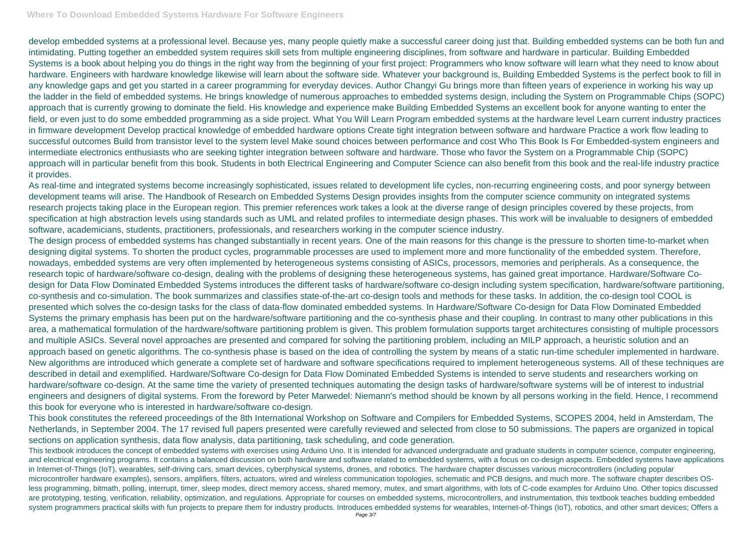develop embedded systems at a professional level. Because yes, many people quietly make a successful career doing just that. Building embedded systems can be both fun and intimidating. Putting together an embedded system requires skill sets from multiple engineering disciplines, from software and hardware in particular. Building Embedded Systems is a book about helping you do things in the right way from the beginning of your first project: Programmers who know software will learn what they need to know about hardware. Engineers with hardware knowledge likewise will learn about the software side. Whatever your background is, Building Embedded Systems is the perfect book to fill in any knowledge gaps and get you started in a career programming for everyday devices. Author Changyi Gu brings more than fifteen years of experience in working his way up the ladder in the field of embedded systems. He brings knowledge of numerous approaches to embedded systems design, including the System on Programmable Chips (SOPC) approach that is currently growing to dominate the field. His knowledge and experience make Building Embedded Systems an excellent book for anyone wanting to enter the field, or even just to do some embedded programming as a side project. What You Will Learn Program embedded systems at the hardware level Learn current industry practices in firmware development Develop practical knowledge of embedded hardware options Create tight integration between software and hardware Practice a work flow leading to successful outcomes Build from transistor level to the system level Make sound choices between performance and cost Who This Book Is For Embedded-system engineers and intermediate electronics enthusiasts who are seeking tighter integration between software and hardware. Those who favor the System on a Programmable Chip (SOPC) approach will in particular benefit from this book. Students in both Electrical Engineering and Computer Science can also benefit from this book and the real-life industry practice it provides.

As real-time and integrated systems become increasingly sophisticated, issues related to development life cycles, non-recurring engineering costs, and poor synergy between development teams will arise. The Handbook of Research on Embedded Systems Design provides insights from the computer science community on integrated systems research projects taking place in the European region. This premier references work takes a look at the diverse range of design principles covered by these projects, from specification at high abstraction levels using standards such as UML and related profiles to intermediate design phases. This work will be invaluable to designers of embedded software, academicians, students, practitioners, professionals, and researchers working in the computer science industry.

This textbook introduces the concept of embedded systems with exercises using Arduino Uno. It is intended for advanced undergraduate and graduate students in computer science, computer engineering, and electrical engineering programs. It contains a balanced discussion on both hardware and software related to embedded systems, with a focus on co-design aspects. Embedded systems have applications in Internet-of-Things (IoT), wearables, self-driving cars, smart devices, cyberphysical systems, drones, and robotics. The hardware chapter discusses various microcontrollers (including popular microcontroller hardware examples), sensors, amplifiers, filters, actuators, wired and wireless communication topologies, schematic and PCB designs, and much more. The software chapter describes OSless programming, bitmath, polling, interrupt, timer, sleep modes, direct memory access, shared memory, mutex, and smart algorithms, with lots of C-code examples for Arduino Uno. Other topics discussed are prototyping, testing, verification, reliability, optimization, and regulations. Appropriate for courses on embedded systems, microcontrollers, and instrumentation, this textbook teaches budding embedded system programmers practical skills with fun projects to prepare them for industry products. Introduces embedded systems for wearables, Internet-of-Things (IoT), robotics, and other smart devices; Offers a

The design process of embedded systems has changed substantially in recent years. One of the main reasons for this change is the pressure to shorten time-to-market when designing digital systems. To shorten the product cycles, programmable processes are used to implement more and more functionality of the embedded system. Therefore, nowadays, embedded systems are very often implemented by heterogeneous systems consisting of ASICs, processors, memories and peripherals. As a consequence, the research topic of hardware/software co-design, dealing with the problems of designing these heterogeneous systems, has gained great importance. Hardware/Software Codesign for Data Flow Dominated Embedded Systems introduces the different tasks of hardware/software co-design including system specification, hardware/software partitioning, co-synthesis and co-simulation. The book summarizes and classifies state-of-the-art co-design tools and methods for these tasks. In addition, the co-design tool COOL is presented which solves the co-design tasks for the class of data-flow dominated embedded systems. In Hardware/Software Co-design for Data Flow Dominated Embedded Systems the primary emphasis has been put on the hardware/software partitioning and the co-synthesis phase and their coupling. In contrast to many other publications in this area, a mathematical formulation of the hardware/software partitioning problem is given. This problem formulation supports target architectures consisting of multiple processors and multiple ASICs. Several novel approaches are presented and compared for solving the partitioning problem, including an MILP approach, a heuristic solution and an approach based on genetic algorithms. The co-synthesis phase is based on the idea of controlling the system by means of a static run-time scheduler implemented in hardware. New algorithms are introduced which generate a complete set of hardware and software specifications required to implement heterogeneous systems. All of these techniques are described in detail and exemplified. Hardware/Software Co-design for Data Flow Dominated Embedded Systems is intended to serve students and researchers working on hardware/software co-design. At the same time the variety of presented techniques automating the design tasks of hardware/software systems will be of interest to industrial engineers and designers of digital systems. From the foreword by Peter Marwedel: Niemann's method should be known by all persons working in the field. Hence, I recommend this book for everyone who is interested in hardware/software co-design.

This book constitutes the refereed proceedings of the 8th International Workshop on Software and Compilers for Embedded Systems, SCOPES 2004, held in Amsterdam, The Netherlands, in September 2004. The 17 revised full papers presented were carefully reviewed and selected from close to 50 submissions. The papers are organized in topical sections on application synthesis, data flow analysis, data partitioning, task scheduling, and code generation.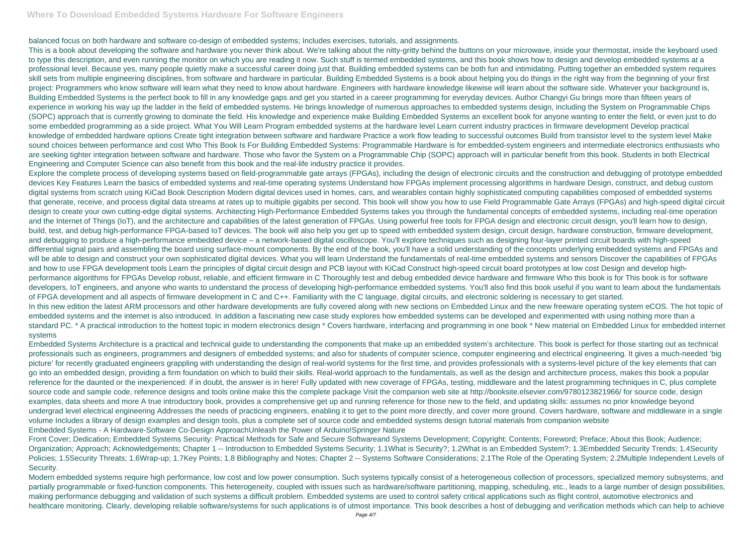balanced focus on both hardware and software co-design of embedded systems; Includes exercises, tutorials, and assignments.

This is a book about developing the software and hardware you never think about. We're talking about the nitty-gritty behind the buttons on your microwave, inside your thermostat, inside the keyboard used to type this description, and even running the monitor on which you are reading it now. Such stuff is termed embedded systems, and this book shows how to design and develop embedded systems at a professional level. Because yes, many people quietly make a successful career doing just that. Building embedded systems can be both fun and intimidating. Putting together an embedded system requires skill sets from multiple engineering disciplines, from software and hardware in particular. Building Embedded Systems is a book about helping you do things in the right way from the beginning of your first project: Programmers who know software will learn what they need to know about hardware. Engineers with hardware knowledge likewise will learn about the software side. Whatever your background is, Building Embedded Systems is the perfect book to fill in any knowledge gaps and get you started in a career programming for everyday devices. Author Changyi Gu brings more than fifteen years of experience in working his way up the ladder in the field of embedded systems. He brings knowledge of numerous approaches to embedded systems design, including the System on Programmable Chips (SOPC) approach that is currently growing to dominate the field. His knowledge and experience make Building Embedded Systems an excellent book for anyone wanting to enter the field, or even just to do some embedded programming as a side project. What You Will Learn Program embedded systems at the hardware level Learn current industry practices in firmware development Develop practical knowledge of embedded hardware options Create tight integration between software and hardware Practice a work flow leading to successful outcomes Build from transistor level to the system level Make sound choices between performance and cost Who This Book Is For Building Embedded Systems: Programmable Hardware is for embedded-system engineers and intermediate electronics enthusiasts who are seeking tighter integration between software and hardware. Those who favor the System on a Programmable Chip (SOPC) approach will in particular benefit from this book. Students in both Electrical Engineering and Computer Science can also benefit from this book and the real-life industry practice it provides.

Explore the complete process of developing systems based on field-programmable gate arrays (FPGAs), including the design of electronic circuits and the construction and debugging of prototype embedded devices Key Features Learn the basics of embedded systems and real-time operating systems Understand how FPGAs implement processing algorithms in hardware Design, construct, and debug custom digital systems from scratch using KiCad Book Description Modern digital devices used in homes, cars, and wearables contain highly sophisticated computing capabilities composed of embedded systems that generate, receive, and process digital data streams at rates up to multiple gigabits per second. This book will show you how to use Field Programmable Gate Arrays (FPGAs) and high-speed digital circuit design to create your own cutting-edge digital systems. Architecting High-Performance Embedded Systems takes you through the fundamental concepts of embedded systems, including real-time operation and the Internet of Things (IoT), and the architecture and capabilities of the latest generation of FPGAs. Using powerful free tools for FPGA design and electronic circuit design, you'll learn how to design, build, test, and debug high-performance FPGA-based IoT devices. The book will also help you get up to speed with embedded system design, circuit design, hardware construction, firmware development, and debugging to produce a high-performance embedded device – a network-based digital oscilloscope. You'll explore techniques such as designing four-layer printed circuit boards with high-speed differential signal pairs and assembling the board using surface-mount components. By the end of the book, you'll have a solid understanding of the concepts underlying embedded systems and FPGAs and will be able to design and construct your own sophisticated digital devices. What you will learn Understand the fundamentals of real-time embedded systems and sensors Discover the capabilities of FPGAs and how to use FPGA development tools Learn the principles of digital circuit design and PCB layout with KiCad Construct high-speed circuit board prototypes at low cost Design and develop highperformance algorithms for FPGAs Develop robust, reliable, and efficient firmware in C Thoroughly test and debug embedded device hardware and firmware Who this book is for This book is for software developers, IoT engineers, and anyone who wants to understand the process of developing high-performance embedded systems. You'll also find this book useful if you want to learn about the fundamentals of FPGA development and all aspects of firmware development in C and C++. Familiarity with the C language, digital circuits, and electronic soldering is necessary to get started. In this new edition the latest ARM processors and other hardware developments are fully covered along with new sections on Embedded Linux and the new freeware operating system eCOS. The hot topic of embedded systems and the internet is also introduced. In addition a fascinating new case study explores how embedded systems can be developed and experimented with using nothing more than a standard PC. \* A practical introduction to the hottest topic in modern electronics design \* Covers hardware, interfacing and programming in one book \* New material on Embedded Linux for embedded internet systems

Embedded Systems Architecture is a practical and technical guide to understanding the components that make up an embedded system's architecture. This book is perfect for those starting out as technical professionals such as engineers, programmers and designers of embedded systems; and also for students of computer science, computer engineering and electrical engineering. It gives a much-needed 'big picture' for recently graduated engineers grappling with understanding the design of real-world systems for the first time, and provides professionals with a systems-level picture of the key elements that can go into an embedded design, providing a firm foundation on which to build their skills. Real-world approach to the fundamentals, as well as the design and architecture process, makes this book a popular reference for the daunted or the inexperienced: if in doubt, the answer is in here! Fully updated with new coverage of FPGAs, testing, middleware and the latest programming techniques in C, plus complete source code and sample code, reference designs and tools online make this the complete package Visit the companion web site at http://booksite.elsevier.com/9780123821966/ for source code, design examples, data sheets and more A true introductory book, provides a comprehensive get up and running reference for those new to the field, and updating skills: assumes no prior knowledge beyond undergrad level electrical engineering Addresses the needs of practicing engineers, enabling it to get to the point more directly, and cover more ground. Covers hardware, software and middleware in a single volume Includes a library of design examples and design tools, plus a complete set of source code and embedded systems design tutorial materials from companion website Embedded Systems - A Hardware-Software Co-Design ApproachUnleash the Power of Arduino!Springer Nature

Front Cover; Dedication; Embedded Systems Security: Practical Methods for Safe and Secure Softwareand Systems Development; Copyright; Contents; Foreword; Preface; About this Book; Audience; Organization; Approach; Acknowledgements; Chapter 1 -- Introduction to Embedded Systems Security; 1.1What is Security?; 1.2What is an Embedded System?; 1.3Embedded Security Trends; 1.4Security Policies; 1.5Security Threats; 1.6Wrap-up; 1.7Key Points; 1.8 Bibliography and Notes; Chapter 2 -- Systems Software Considerations; 2.1The Role of the Operating System; 2.2Multiple Independent Levels of Security.

Modern embedded systems require high performance, low cost and low power consumption. Such systems typically consist of a heterogeneous collection of processors, specialized memory subsystems, and partially programmable or fixed-function components. This heterogeneity, coupled with issues such as hardware/software partitioning, mapping, scheduling, etc., leads to a large number of design possibilities, making performance debugging and validation of such systems a difficult problem. Embedded systems are used to control safety critical applications such as flight control, automotive electronics and healthcare monitoring. Clearly, developing reliable software/systems for such applications is of utmost importance. This book describes a host of debugging and verification methods which can help to achieve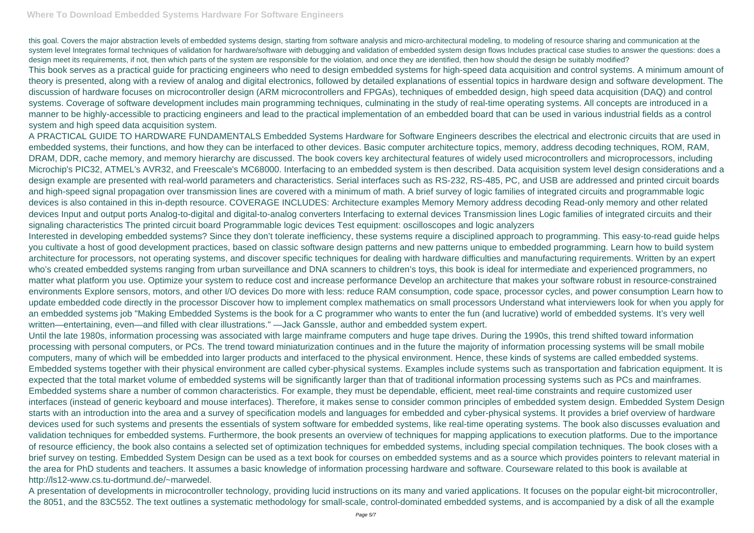this goal. Covers the major abstraction levels of embedded systems design, starting from software analysis and micro-architectural modeling, to modeling of resource sharing and communication at the system level Integrates formal techniques of validation for hardware/software with debugging and validation of embedded system design flows Includes practical case studies to answer the questions: does a design meet its requirements, if not, then which parts of the system are responsible for the violation, and once they are identified, then how should the design be suitably modified? This book serves as a practical guide for practicing engineers who need to design embedded systems for high-speed data acquisition and control systems. A minimum amount of theory is presented, along with a review of analog and digital electronics, followed by detailed explanations of essential topics in hardware design and software development. The discussion of hardware focuses on microcontroller design (ARM microcontrollers and FPGAs), techniques of embedded design, high speed data acquisition (DAQ) and control systems. Coverage of software development includes main programming techniques, culminating in the study of real-time operating systems. All concepts are introduced in a manner to be highly-accessible to practicing engineers and lead to the practical implementation of an embedded board that can be used in various industrial fields as a control system and high speed data acquisition system.

A PRACTICAL GUIDE TO HARDWARE FUNDAMENTALS Embedded Systems Hardware for Software Engineers describes the electrical and electronic circuits that are used in embedded systems, their functions, and how they can be interfaced to other devices. Basic computer architecture topics, memory, address decoding techniques, ROM, RAM, DRAM, DDR, cache memory, and memory hierarchy are discussed. The book covers key architectural features of widely used microcontrollers and microprocessors, including Microchip's PIC32, ATMEL's AVR32, and Freescale's MC68000. Interfacing to an embedded system is then described. Data acquisition system level design considerations and a design example are presented with real-world parameters and characteristics. Serial interfaces such as RS-232, RS-485, PC, and USB are addressed and printed circuit boards and high-speed signal propagation over transmission lines are covered with a minimum of math. A brief survey of logic families of integrated circuits and programmable logic devices is also contained in this in-depth resource. COVERAGE INCLUDES: Architecture examples Memory Memory address decoding Read-only memory and other related devices Input and output ports Analog-to-digital and digital-to-analog converters Interfacing to external devices Transmission lines Logic families of integrated circuits and their signaling characteristics The printed circuit board Programmable logic devices Test equipment: oscilloscopes and logic analyzers

Interested in developing embedded systems? Since they don't tolerate inefficiency, these systems require a disciplined approach to programming. This easy-to-read guide helps you cultivate a host of good development practices, based on classic software design patterns and new patterns unique to embedded programming. Learn how to build system architecture for processors, not operating systems, and discover specific techniques for dealing with hardware difficulties and manufacturing requirements. Written by an expert who's created embedded systems ranging from urban surveillance and DNA scanners to children's toys, this book is ideal for intermediate and experienced programmers, no matter what platform you use. Optimize your system to reduce cost and increase performance Develop an architecture that makes your software robust in resource-constrained environments Explore sensors, motors, and other I/O devices Do more with less: reduce RAM consumption, code space, processor cycles, and power consumption Learn how to update embedded code directly in the processor Discover how to implement complex mathematics on small processors Understand what interviewers look for when you apply for an embedded systems job "Making Embedded Systems is the book for a C programmer who wants to enter the fun (and lucrative) world of embedded systems. It's very well written—entertaining, even—and filled with clear illustrations." —Jack Ganssle, author and embedded system expert.

Until the late 1980s, information processing was associated with large mainframe computers and huge tape drives. During the 1990s, this trend shifted toward information processing with personal computers, or PCs. The trend toward miniaturization continues and in the future the majority of information processing systems will be small mobile computers, many of which will be embedded into larger products and interfaced to the physical environment. Hence, these kinds of systems are called embedded systems. Embedded systems together with their physical environment are called cyber-physical systems. Examples include systems such as transportation and fabrication equipment. It is expected that the total market volume of embedded systems will be significantly larger than that of traditional information processing systems such as PCs and mainframes. Embedded systems share a number of common characteristics. For example, they must be dependable, efficient, meet real-time constraints and require customized user interfaces (instead of generic keyboard and mouse interfaces). Therefore, it makes sense to consider common principles of embedded system design. Embedded System Design starts with an introduction into the area and a survey of specification models and languages for embedded and cyber-physical systems. It provides a brief overview of hardware devices used for such systems and presents the essentials of system software for embedded systems, like real-time operating systems. The book also discusses evaluation and validation techniques for embedded systems. Furthermore, the book presents an overview of techniques for mapping applications to execution platforms. Due to the importance of resource efficiency, the book also contains a selected set of optimization techniques for embedded systems, including special compilation techniques. The book closes with a brief survey on testing. Embedded System Design can be used as a text book for courses on embedded systems and as a source which provides pointers to relevant material in the area for PhD students and teachers. It assumes a basic knowledge of information processing hardware and software. Courseware related to this book is available at http://ls12-www.cs.tu-dortmund.de/~marwedel.

A presentation of developments in microcontroller technology, providing lucid instructions on its many and varied applications. It focuses on the popular eight-bit microcontroller, the 8051, and the 83C552. The text outlines a systematic methodology for small-scale, control-dominated embedded systems, and is accompanied by a disk of all the example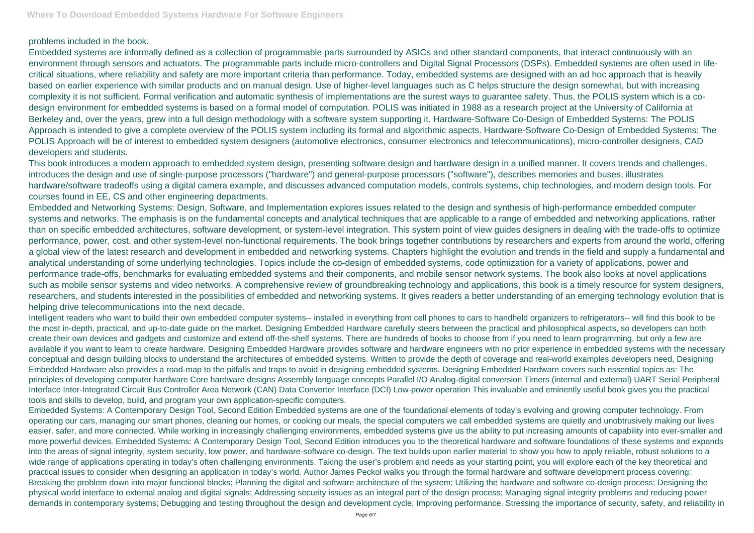## problems included in the book.

Embedded systems are informally defined as a collection of programmable parts surrounded by ASICs and other standard components, that interact continuously with an environment through sensors and actuators. The programmable parts include micro-controllers and Digital Signal Processors (DSPs). Embedded systems are often used in lifecritical situations, where reliability and safety are more important criteria than performance. Today, embedded systems are designed with an ad hoc approach that is heavily based on earlier experience with similar products and on manual design. Use of higher-level languages such as C helps structure the design somewhat, but with increasing complexity it is not sufficient. Formal verification and automatic synthesis of implementations are the surest ways to guarantee safety. Thus, the POLIS system which is a codesign environment for embedded systems is based on a formal model of computation. POLIS was initiated in 1988 as a research project at the University of California at Berkeley and, over the years, grew into a full design methodology with a software system supporting it. Hardware-Software Co-Design of Embedded Systems: The POLIS Approach is intended to give a complete overview of the POLIS system including its formal and algorithmic aspects. Hardware-Software Co-Design of Embedded Systems: The POLIS Approach will be of interest to embedded system designers (automotive electronics, consumer electronics and telecommunications), micro-controller designers, CAD developers and students.

This book introduces a modern approach to embedded system design, presenting software design and hardware design in a unified manner. It covers trends and challenges, introduces the design and use of single-purpose processors ("hardware") and general-purpose processors ("software"), describes memories and buses, illustrates hardware/software tradeoffs using a digital camera example, and discusses advanced computation models, controls systems, chip technologies, and modern design tools. For courses found in EE, CS and other engineering departments.

Embedded and Networking Systems: Design, Software, and Implementation explores issues related to the design and synthesis of high-performance embedded computer systems and networks. The emphasis is on the fundamental concepts and analytical techniques that are applicable to a range of embedded and networking applications, rather than on specific embedded architectures, software development, or system-level integration. This system point of view guides designers in dealing with the trade-offs to optimize performance, power, cost, and other system-level non-functional requirements. The book brings together contributions by researchers and experts from around the world, offering a global view of the latest research and development in embedded and networking systems. Chapters highlight the evolution and trends in the field and supply a fundamental and analytical understanding of some underlying technologies. Topics include the co-design of embedded systems, code optimization for a variety of applications, power and performance trade-offs, benchmarks for evaluating embedded systems and their components, and mobile sensor network systems. The book also looks at novel applications such as mobile sensor systems and video networks. A comprehensive review of groundbreaking technology and applications, this book is a timely resource for system designers, researchers, and students interested in the possibilities of embedded and networking systems. It gives readers a better understanding of an emerging technology evolution that is helping drive telecommunications into the next decade.

Intelligent readers who want to build their own embedded computer systems-- installed in everything from cell phones to cars to handheld organizers to refrigerators-- will find this book to be the most in-depth, practical, and up-to-date guide on the market. Designing Embedded Hardware carefully steers between the practical and philosophical aspects, so developers can both create their own devices and gadgets and customize and extend off-the-shelf systems. There are hundreds of books to choose from if you need to learn programming, but only a few are available if you want to learn to create hardware. Designing Embedded Hardware provides software and hardware engineers with no prior experience in embedded systems with the necessary conceptual and design building blocks to understand the architectures of embedded systems. Written to provide the depth of coverage and real-world examples developers need, Designing Embedded Hardware also provides a road-map to the pitfalls and traps to avoid in designing embedded systems. Designing Embedded Hardware covers such essential topics as: The principles of developing computer hardware Core hardware designs Assembly language concepts Parallel I/O Analog-digital conversion Timers (internal and external) UART Serial Peripheral Interface Inter-Integrated Circuit Bus Controller Area Network (CAN) Data Converter Interface (DCI) Low-power operation This invaluable and eminently useful book gives you the practical tools and skills to develop, build, and program your own application-specific computers.

Embedded Systems: A Contemporary Design Tool, Second Edition Embedded systems are one of the foundational elements of today's evolving and growing computer technology. From operating our cars, managing our smart phones, cleaning our homes, or cooking our meals, the special computers we call embedded systems are quietly and unobtrusively making our lives easier, safer, and more connected. While working in increasingly challenging environments, embedded systems give us the ability to put increasing amounts of capability into ever-smaller and more powerful devices. Embedded Systems: A Contemporary Design Tool, Second Edition introduces you to the theoretical hardware and software foundations of these systems and expands into the areas of signal integrity, system security, low power, and hardware-software co-design. The text builds upon earlier material to show you how to apply reliable, robust solutions to a wide range of applications operating in today's often challenging environments. Taking the user's problem and needs as your starting point, you will explore each of the key theoretical and practical issues to consider when designing an application in today's world. Author James Peckol walks you through the formal hardware and software development process covering: Breaking the problem down into major functional blocks; Planning the digital and software architecture of the system; Utilizing the hardware and software co-design process; Designing the physical world interface to external analog and digital signals; Addressing security issues as an integral part of the design process; Managing signal integrity problems and reducing power demands in contemporary systems; Debugging and testing throughout the design and development cycle; Improving performance. Stressing the importance of security, safety, and reliability in